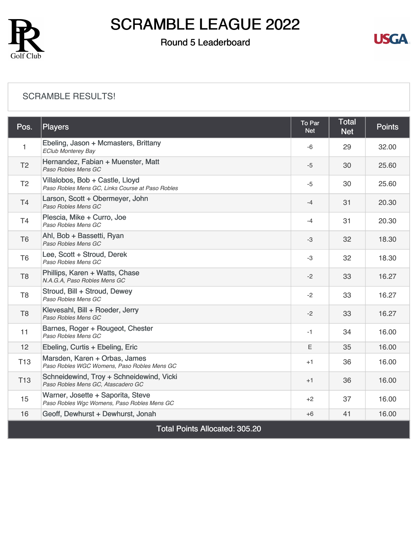

### Round 5 Leaderboard



#### [SCRAMBLE RESULTS!](https://cdn2.golfgenius.com/v2tournaments/8346818075416379258?called_from=&round_index=5)

| Pos.                                  | <b>Players</b>                                                                      | To Par<br><b>Net</b> | <b>Total</b><br><b>Net</b> | <b>Points</b> |  |  |
|---------------------------------------|-------------------------------------------------------------------------------------|----------------------|----------------------------|---------------|--|--|
| 1.                                    | Ebeling, Jason + Mcmasters, Brittany<br><b>EClub Monterey Bay</b>                   | $-6$                 | 29                         | 32.00         |  |  |
| T <sub>2</sub>                        | Hernandez, Fabian + Muenster, Matt<br>Paso Robles Mens GC                           | $-5$                 | 30                         | 25.60         |  |  |
| T <sub>2</sub>                        | Villalobos, Bob + Castle, Lloyd<br>Paso Robles Mens GC, Links Course at Paso Robles | $-5$                 | 30                         | 25.60         |  |  |
| <b>T4</b>                             | Larson, Scott + Obermeyer, John<br>Paso Robles Mens GC                              | $-4$                 | 31                         | 20.30         |  |  |
| T <sub>4</sub>                        | Plescia, Mike + Curro, Joe<br>Paso Robles Mens GC                                   | $-4$                 | 31                         | 20.30         |  |  |
| T <sub>6</sub>                        | Ahl, Bob + Bassetti, Ryan<br>Paso Robles Mens GC                                    | -3                   | 32                         | 18.30         |  |  |
| T <sub>6</sub>                        | Lee, Scott + Stroud, Derek<br>Paso Robles Mens GC                                   | -3                   | 32                         | 18.30         |  |  |
| T <sub>8</sub>                        | Phillips, Karen + Watts, Chase<br>N.A.G.A, Paso Robles Mens GC                      | $-2$                 | 33                         | 16.27         |  |  |
| T <sub>8</sub>                        | Stroud, Bill + Stroud, Dewey<br>Paso Robles Mens GC                                 | $-2$                 | 33                         | 16.27         |  |  |
| T <sub>8</sub>                        | Klevesahl, Bill + Roeder, Jerry<br>Paso Robles Mens GC                              | $-2$                 | 33                         | 16.27         |  |  |
| 11                                    | Barnes, Roger + Rougeot, Chester<br>Paso Robles Mens GC                             | -1                   | 34                         | 16.00         |  |  |
| 12                                    | Ebeling, Curtis + Ebeling, Eric                                                     | E.                   | 35                         | 16.00         |  |  |
| T <sub>13</sub>                       | Marsden, Karen + Orbas, James<br>Paso Robles WGC Womens, Paso Robles Mens GC        | $+1$                 | 36                         | 16.00         |  |  |
| T <sub>13</sub>                       | Schneidewind, Troy + Schneidewind, Vicki<br>Paso Robles Mens GC, Atascadero GC      | $+1$                 | 36                         | 16.00         |  |  |
| 15                                    | Warner, Josette + Saporita, Steve<br>Paso Robles Wgc Womens, Paso Robles Mens GC    | $+2$                 | 37                         | 16.00         |  |  |
| 16                                    | Geoff, Dewhurst + Dewhurst, Jonah                                                   | $+6$                 | 41                         | 16.00         |  |  |
| <b>Total Points Allocated: 305.20</b> |                                                                                     |                      |                            |               |  |  |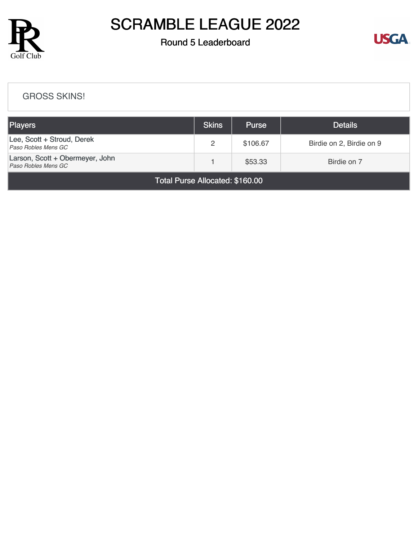

### Round 5 Leaderboard



#### [GROSS SKINS!](https://cdn2.golfgenius.com/v2tournaments/8346818814419189627?called_from=&round_index=5)

| Players                                                | <b>Skins</b> | <b>Purse</b> | <b>Details</b>           |
|--------------------------------------------------------|--------------|--------------|--------------------------|
| Lee, Scott + Stroud, Derek<br>Paso Robles Mens GC      | 2            | \$106.67     | Birdie on 2, Birdie on 9 |
| Larson, Scott + Obermeyer, John<br>Paso Robles Mens GC |              | \$53.33      | Birdie on 7              |

Total Purse Allocated: \$160.00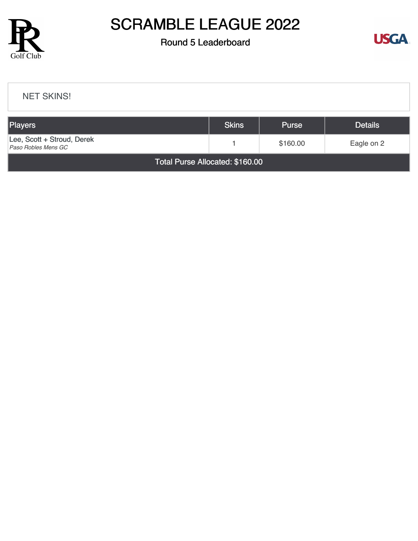

#### Round 5 Leaderboard



# [NET SKINS!](https://cdn2.golfgenius.com/v2tournaments/8346820050497355644?called_from=&round_index=5) Players Skins Purse Details [Lee, Scott + Stroud, Derek](https://cdn2.golfgenius.com/tournaments2/details/8347556045454884648) Lee, Scott + Stroud, Derek<br>
Paso Robles Mens GC<br>
Paso Robles Mens GC Total Purse Allocated: \$160.00